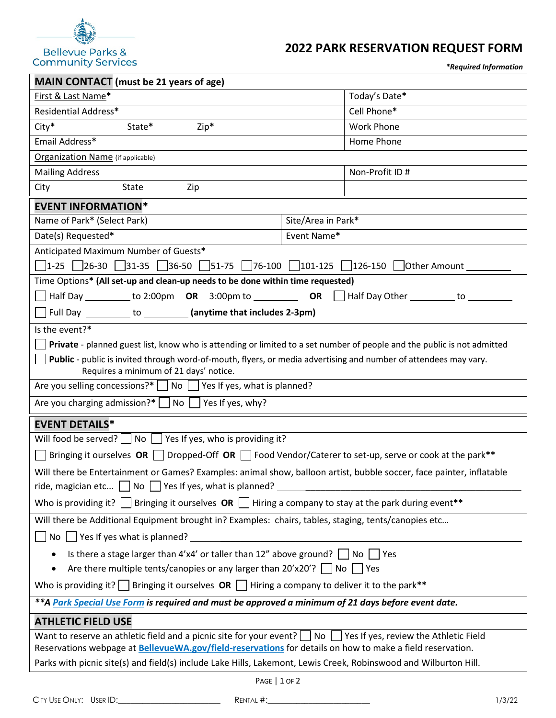

# **2022 PARK RESERVATION REQUEST FORM**

*\*Required Information*

|                                                                                                                            | "Requirea information |  |  |  |
|----------------------------------------------------------------------------------------------------------------------------|-----------------------|--|--|--|
| <b>MAIN CONTACT</b> (must be 21 years of age)                                                                              |                       |  |  |  |
| First & Last Name*                                                                                                         | Today's Date*         |  |  |  |
| <b>Residential Address*</b>                                                                                                | Cell Phone*           |  |  |  |
| $City*$<br>Zip*<br>State*                                                                                                  | <b>Work Phone</b>     |  |  |  |
| Email Address*                                                                                                             | Home Phone            |  |  |  |
| <b>Organization Name</b> (if applicable)                                                                                   |                       |  |  |  |
| <b>Mailing Address</b>                                                                                                     | Non-Profit ID #       |  |  |  |
| City<br>State<br>Zip                                                                                                       |                       |  |  |  |
| <b>EVENT INFORMATION*</b>                                                                                                  |                       |  |  |  |
| Name of Park* (Select Park)                                                                                                | Site/Area in Park*    |  |  |  |
| Date(s) Requested*                                                                                                         | Event Name*           |  |  |  |
| Anticipated Maximum Number of Guests*                                                                                      |                       |  |  |  |
| □ 1-25  26-30  31-35  36-50  51-75  76-100  101-125  126-150  Other Amount                                                 |                       |  |  |  |
| Time Options* (All set-up and clean-up needs to be done within time requested)                                             |                       |  |  |  |
| Half Day __________ to 2:00pm <b>OR</b> 3:00pm to ___________ <b>OR</b>     Half Day Other __________ to ___               |                       |  |  |  |
| Full Day ___________ to __________(anytime that includes 2-3pm)                                                            |                       |  |  |  |
| Is the event?*                                                                                                             |                       |  |  |  |
| Private - planned guest list, know who is attending or limited to a set number of people and the public is not admitted    |                       |  |  |  |
| Public - public is invited through word-of-mouth, flyers, or media advertising and number of attendees may vary.           |                       |  |  |  |
| Requires a minimum of 21 days' notice.                                                                                     |                       |  |  |  |
| Are you selling concessions?* $\Box$ No $\Box$ Yes If yes, what is planned?                                                |                       |  |  |  |
| Are you charging admission?* $\Box$ No $\Box$ Yes If yes, why?                                                             |                       |  |  |  |
| <b>EVENT DETAILS*</b>                                                                                                      |                       |  |  |  |
| Will food be served? $\Box$ No $\Box$ Yes If yes, who is providing it?                                                     |                       |  |  |  |
| Bringing it ourselves OR $\Box$ Dropped-Off OR $\Box$ Food Vendor/Caterer to set-up, serve or cook at the park**           |                       |  |  |  |
| Will there be Entertainment or Games? Examples: animal show, balloon artist, bubble soccer, face painter, inflatable       |                       |  |  |  |
| ride, magician etc $\Box$ No $\Box$ Yes If yes, what is planned?                                                           |                       |  |  |  |
| Who is providing it? Bringing it ourselves OR $\Box$ Hiring a company to stay at the park during event**                   |                       |  |  |  |
| Will there be Additional Equipment brought in? Examples: chairs, tables, staging, tents/canopies etc                       |                       |  |  |  |
| No $\Box$ Yes If yes what is planned?                                                                                      |                       |  |  |  |
| Is there a stage larger than $4'x4'$ or taller than 12" above ground? $\Box$ No  <br>Yes                                   |                       |  |  |  |
| Are there multiple tents/canopies or any larger than $20'x20'$ ? $\Box$ No $\Box$ Yes                                      |                       |  |  |  |
| Who is providing it? Bringing it ourselves <b>OR</b> Hiring a company to deliver it to the park**                          |                       |  |  |  |
| ** A Park Special Use Form is required and must be approved a minimum of 21 days before event date.                        |                       |  |  |  |
| <b>ATHLETIC FIELD USE</b>                                                                                                  |                       |  |  |  |
| Want to reserve an athletic field and a picnic site for your event? $\Box$ No $\Box$ Yes If yes, review the Athletic Field |                       |  |  |  |
| Reservations webpage at <b>BellevueWA.gov/field-reservations</b> for details on how to make a field reservation.           |                       |  |  |  |
| Parks with picnic site(s) and field(s) include Lake Hills, Lakemont, Lewis Creek, Robinswood and Wilburton Hill.           |                       |  |  |  |
|                                                                                                                            |                       |  |  |  |